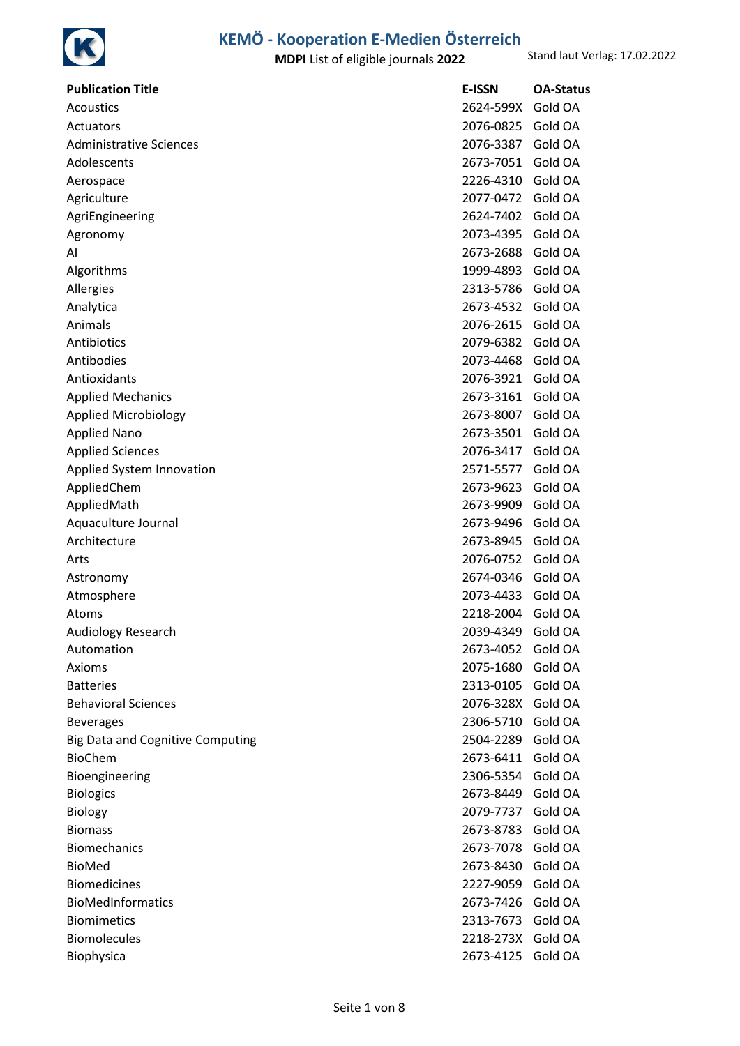

| <b>Publication Title</b>                | <b>E-ISSN</b>     | <b>OA-Status</b> |
|-----------------------------------------|-------------------|------------------|
| Acoustics                               | 2624-599X         | Gold OA          |
| Actuators                               | 2076-0825         | Gold OA          |
| <b>Administrative Sciences</b>          | 2076-3387         | Gold OA          |
| Adolescents                             | 2673-7051         | Gold OA          |
| Aerospace                               | 2226-4310         | Gold OA          |
| Agriculture                             | 2077-0472         | Gold OA          |
| AgriEngineering                         | 2624-7402         | Gold OA          |
| Agronomy                                | 2073-4395         | Gold OA          |
| AI                                      | 2673-2688         | Gold OA          |
| Algorithms                              | 1999-4893         | Gold OA          |
| Allergies                               | 2313-5786         | Gold OA          |
| Analytica                               | 2673-4532         | Gold OA          |
| Animals                                 | 2076-2615         | Gold OA          |
| Antibiotics                             | 2079-6382         | Gold OA          |
| Antibodies                              | 2073-4468         | Gold OA          |
| Antioxidants                            | 2076-3921         | Gold OA          |
| <b>Applied Mechanics</b>                | 2673-3161         | Gold OA          |
| Applied Microbiology                    | 2673-8007         | Gold OA          |
| <b>Applied Nano</b>                     | 2673-3501         | Gold OA          |
| <b>Applied Sciences</b>                 | 2076-3417         | Gold OA          |
| Applied System Innovation               | 2571-5577         | Gold OA          |
| AppliedChem                             | 2673-9623         | Gold OA          |
| AppliedMath                             | 2673-9909         | Gold OA          |
| Aquaculture Journal                     | 2673-9496         | Gold OA          |
| Architecture                            | 2673-8945         | Gold OA          |
| Arts                                    | 2076-0752         | Gold OA          |
| Astronomy                               | 2674-0346         | Gold OA          |
| Atmosphere                              | 2073-4433         | Gold OA          |
| Atoms                                   | 2218-2004         | Gold OA          |
| Audiology Research                      | 2039-4349         | Gold OA          |
| Automation                              | 2673-4052         | Gold OA          |
| Axioms                                  | 2075-1680         | Gold OA          |
| <b>Batteries</b>                        | 2313-0105         | Gold OA          |
| <b>Behavioral Sciences</b>              | 2076-328X Gold OA |                  |
| <b>Beverages</b>                        | 2306-5710         | Gold OA          |
| <b>Big Data and Cognitive Computing</b> | 2504-2289         | Gold OA          |
| <b>BioChem</b>                          | 2673-6411         | Gold OA          |
| Bioengineering                          | 2306-5354         | Gold OA          |
| <b>Biologics</b>                        | 2673-8449         | Gold OA          |
| <b>Biology</b>                          | 2079-7737         | Gold OA          |
| <b>Biomass</b>                          | 2673-8783         | Gold OA          |
| <b>Biomechanics</b>                     | 2673-7078         | Gold OA          |
| <b>BioMed</b>                           | 2673-8430         | Gold OA          |
| <b>Biomedicines</b>                     | 2227-9059         | Gold OA          |
| <b>BioMedInformatics</b>                | 2673-7426         | Gold OA          |
| <b>Biomimetics</b>                      | 2313-7673         | Gold OA          |
| <b>Biomolecules</b>                     | 2218-273X         | Gold OA          |
| <b>Biophysica</b>                       | 2673-4125         | Gold OA          |
|                                         |                   |                  |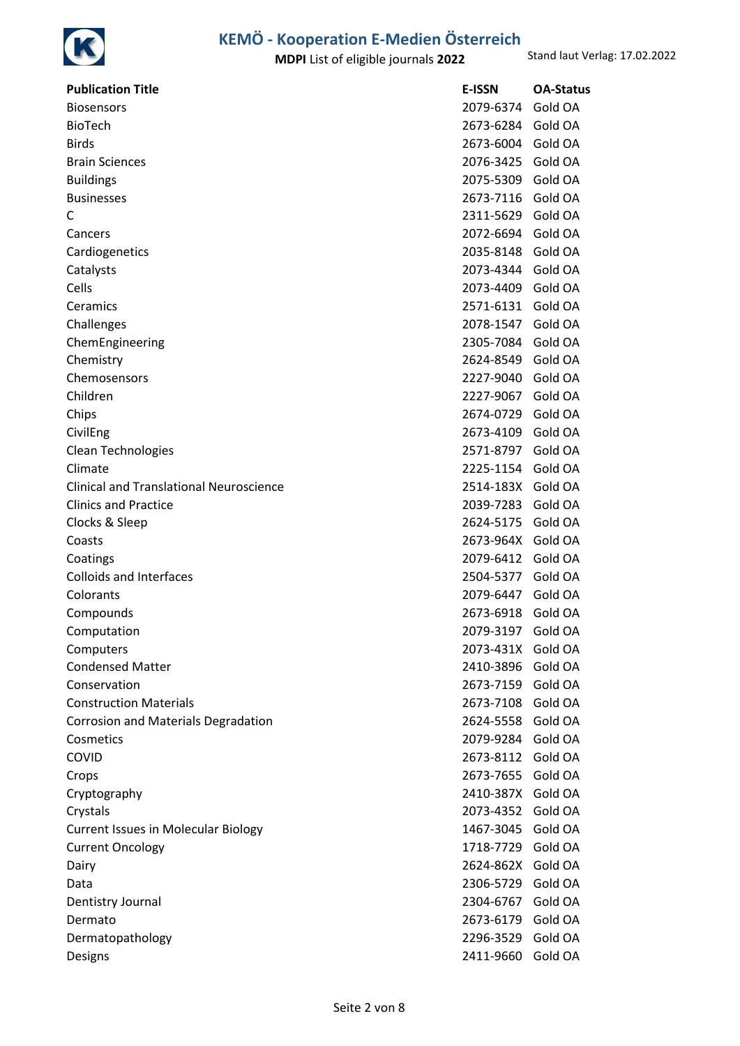

| <b>Publication Title</b>                | <b>E-ISSN</b>     | <b>OA-Status</b> |
|-----------------------------------------|-------------------|------------------|
| <b>Biosensors</b>                       | 2079-6374         | Gold OA          |
| <b>BioTech</b>                          | 2673-6284 Gold OA |                  |
| Birds                                   | 2673-6004         | Gold OA          |
| <b>Brain Sciences</b>                   | 2076-3425         | Gold OA          |
| Buildings                               | 2075-5309 Gold OA |                  |
| <b>Businesses</b>                       | 2673-7116         | Gold OA          |
| C                                       | 2311-5629 Gold OA |                  |
| Cancers                                 | 2072-6694         | Gold OA          |
| Cardiogenetics                          | 2035-8148 Gold OA |                  |
| Catalysts                               | 2073-4344         | Gold OA          |
| Cells                                   | 2073-4409         | Gold OA          |
| Ceramics                                | 2571-6131         | Gold OA          |
| Challenges                              | 2078-1547         | Gold OA          |
| ChemEngineering                         | 2305-7084 Gold OA |                  |
| Chemistry                               | 2624-8549         | Gold OA          |
| Chemosensors                            | 2227-9040         | Gold OA          |
| Children                                | 2227-9067         | Gold OA          |
| Chips                                   | 2674-0729         | Gold OA          |
| CivilEng                                | 2673-4109 Gold OA |                  |
| Clean Technologies                      | 2571-8797         | Gold OA          |
| Climate                                 | 2225-1154 Gold OA |                  |
| Clinical and Translational Neuroscience | 2514-183X         | Gold OA          |
| <b>Clinics and Practice</b>             | 2039-7283         | Gold OA          |
| Clocks & Sleep                          | 2624-5175 Gold OA |                  |
| Coasts                                  | 2673-964X         | Gold OA          |
| Coatings                                | 2079-6412 Gold OA |                  |
| <b>Colloids and Interfaces</b>          | 2504-5377         | Gold OA          |
| Colorants                               | 2079-6447         | Gold OA          |
| Compounds                               | 2673-6918         | Gold OA          |
| Computation                             | 2079-3197         | Gold OA          |
| Computers                               | 2073-431X Gold OA |                  |
| <b>Condensed Matter</b>                 | 2410-3896         | Gold OA          |
| Conservation                            | 2673-7159 Gold OA |                  |
| <b>Construction Materials</b>           | 2673-7108         | Gold OA          |
| Corrosion and Materials Degradation     | 2624-5558         | Gold OA          |
| Cosmetics                               | 2079-9284 Gold OA |                  |
| COVID                                   | 2673-8112         | Gold OA          |
| Crops                                   | 2673-7655 Gold OA |                  |
| Cryptography                            | 2410-387X         | Gold OA          |
| Crystals                                | 2073-4352 Gold OA |                  |
| Current Issues in Molecular Biology     | 1467-3045         | Gold OA          |
| <b>Current Oncology</b>                 | 1718-7729         | Gold OA          |
| Dairy                                   | 2624-862X         | Gold OA          |
| Data                                    | 2306-5729         | Gold OA          |
| Dentistry Journal                       | 2304-6767         | Gold OA          |
| Dermato                                 | 2673-6179         | Gold OA          |
| Dermatopathology                        | 2296-3529         | Gold OA          |
| Designs                                 | 2411-9660         | Gold OA          |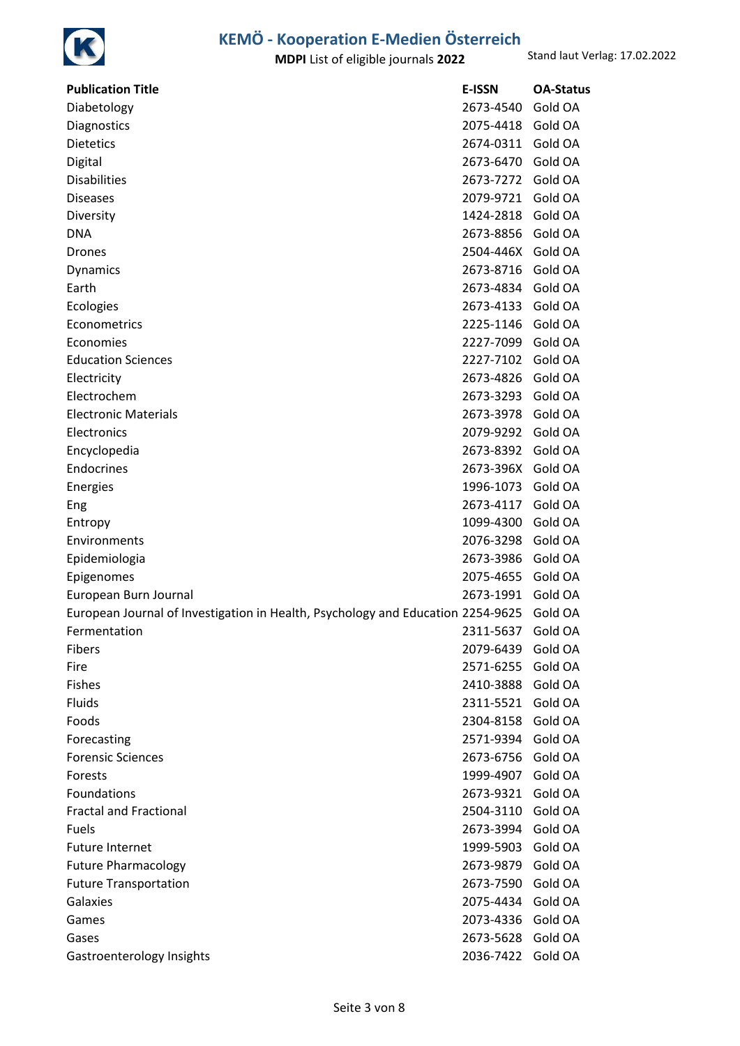

| <b>Publication Title</b>                                                        | <b>E-ISSN</b> | <b>OA-Status</b> |
|---------------------------------------------------------------------------------|---------------|------------------|
| Diabetology                                                                     | 2673-4540     | Gold OA          |
| Diagnostics                                                                     | 2075-4418     | Gold OA          |
| <b>Dietetics</b>                                                                | 2674-0311     | Gold OA          |
| Digital                                                                         | 2673-6470     | Gold OA          |
| <b>Disabilities</b>                                                             | 2673-7272     | Gold OA          |
| <b>Diseases</b>                                                                 | 2079-9721     | Gold OA          |
| Diversity                                                                       | 1424-2818     | Gold OA          |
| <b>DNA</b>                                                                      | 2673-8856     | Gold OA          |
| <b>Drones</b>                                                                   | 2504-446X     | Gold OA          |
| Dynamics                                                                        | 2673-8716     | Gold OA          |
| Earth                                                                           | 2673-4834     | Gold OA          |
| Ecologies                                                                       | 2673-4133     | Gold OA          |
| Econometrics                                                                    | 2225-1146     | Gold OA          |
| Economies                                                                       | 2227-7099     | Gold OA          |
| <b>Education Sciences</b>                                                       | 2227-7102     | Gold OA          |
| Electricity                                                                     | 2673-4826     | Gold OA          |
| Electrochem                                                                     | 2673-3293     | Gold OA          |
| <b>Electronic Materials</b>                                                     | 2673-3978     | Gold OA          |
| Electronics                                                                     | 2079-9292     | Gold OA          |
| Encyclopedia                                                                    | 2673-8392     | Gold OA          |
| Endocrines                                                                      | 2673-396X     | Gold OA          |
| Energies                                                                        | 1996-1073     | Gold OA          |
| Eng                                                                             | 2673-4117     | Gold OA          |
| Entropy                                                                         | 1099-4300     | Gold OA          |
| Environments                                                                    | 2076-3298     | Gold OA          |
| Epidemiologia                                                                   | 2673-3986     | Gold OA          |
| Epigenomes                                                                      | 2075-4655     | Gold OA          |
| European Burn Journal                                                           | 2673-1991     | Gold OA          |
| European Journal of Investigation in Health, Psychology and Education 2254-9625 |               | Gold OA          |
| Fermentation                                                                    | 2311-5637     | Gold OA          |
| Fibers                                                                          | 2079-6439     | Gold OA          |
| Fire                                                                            | 2571-6255     | Gold OA          |
| <b>Fishes</b>                                                                   | 2410-3888     | Gold OA          |
| Fluids                                                                          | 2311-5521     | Gold OA          |
| Foods                                                                           | 2304-8158     | Gold OA          |
| Forecasting                                                                     | 2571-9394     | Gold OA          |
| <b>Forensic Sciences</b>                                                        | 2673-6756     | Gold OA          |
| Forests                                                                         | 1999-4907     | Gold OA          |
| Foundations                                                                     | 2673-9321     | Gold OA          |
| <b>Fractal and Fractional</b>                                                   | 2504-3110     | Gold OA          |
| Fuels                                                                           | 2673-3994     | Gold OA          |
| <b>Future Internet</b>                                                          | 1999-5903     | Gold OA          |
| <b>Future Pharmacology</b>                                                      | 2673-9879     | Gold OA          |
| <b>Future Transportation</b>                                                    | 2673-7590     | Gold OA          |
| Galaxies                                                                        | 2075-4434     | Gold OA          |
| Games                                                                           | 2073-4336     | Gold OA          |
| Gases                                                                           | 2673-5628     | Gold OA          |
| Gastroenterology Insights                                                       | 2036-7422     | Gold OA          |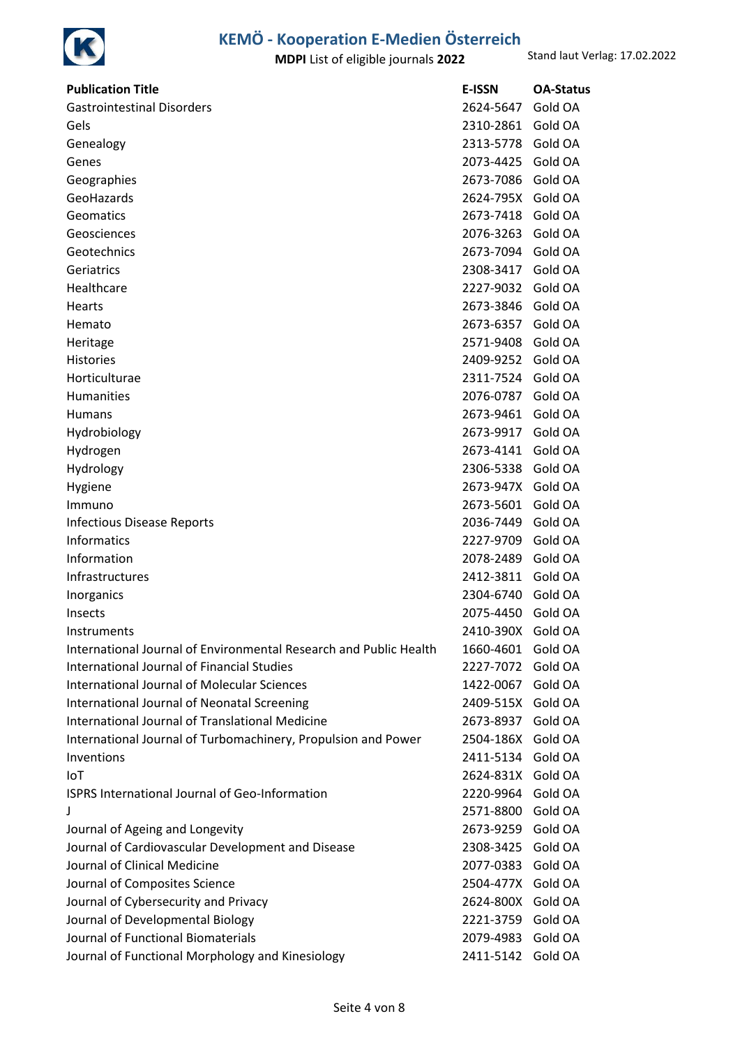

| <b>Publication Title</b>                                          | <b>E-ISSN</b> | <b>OA-Status</b> |
|-------------------------------------------------------------------|---------------|------------------|
| <b>Gastrointestinal Disorders</b>                                 | 2624-5647     | Gold OA          |
| Gels                                                              | 2310-2861     | Gold OA          |
| Genealogy                                                         | 2313-5778     | Gold OA          |
| Genes                                                             | 2073-4425     | Gold OA          |
| Geographies                                                       | 2673-7086     | Gold OA          |
| GeoHazards                                                        | 2624-795X     | Gold OA          |
| Geomatics                                                         | 2673-7418     | Gold OA          |
| Geosciences                                                       | 2076-3263     | Gold OA          |
| Geotechnics                                                       | 2673-7094     | Gold OA          |
| Geriatrics                                                        | 2308-3417     | Gold OA          |
| Healthcare                                                        | 2227-9032     | Gold OA          |
| Hearts                                                            | 2673-3846     | Gold OA          |
| Hemato                                                            | 2673-6357     | Gold OA          |
| Heritage                                                          | 2571-9408     | Gold OA          |
| Histories                                                         | 2409-9252     | Gold OA          |
| Horticulturae                                                     | 2311-7524     | Gold OA          |
| Humanities                                                        | 2076-0787     | Gold OA          |
| <b>Humans</b>                                                     | 2673-9461     | Gold OA          |
| Hydrobiology                                                      | 2673-9917     | Gold OA          |
| Hydrogen                                                          | 2673-4141     | Gold OA          |
| Hydrology                                                         | 2306-5338     | Gold OA          |
| Hygiene                                                           | 2673-947X     | Gold OA          |
| Immuno                                                            | 2673-5601     | Gold OA          |
| <b>Infectious Disease Reports</b>                                 | 2036-7449     | Gold OA          |
| <b>Informatics</b>                                                | 2227-9709     | Gold OA          |
| Information                                                       | 2078-2489     | Gold OA          |
| Infrastructures                                                   | 2412-3811     | Gold OA          |
| Inorganics                                                        | 2304-6740     | Gold OA          |
| Insects                                                           | 2075-4450     | Gold OA          |
| Instruments                                                       | 2410-390X     | Gold OA          |
| International Journal of Environmental Research and Public Health | 1660-4601     | Gold OA          |
| International Journal of Financial Studies                        | 2227-7072     | Gold OA          |
| <b>International Journal of Molecular Sciences</b>                | 1422-0067     | Gold OA          |
| International Journal of Neonatal Screening                       | 2409-515X     | Gold OA          |
| International Journal of Translational Medicine                   | 2673-8937     | Gold OA          |
| International Journal of Turbomachinery, Propulsion and Power     | 2504-186X     | Gold OA          |
| Inventions                                                        | 2411-5134     | Gold OA          |
| IoT                                                               | 2624-831X     | Gold OA          |
| <b>ISPRS International Journal of Geo-Information</b>             | 2220-9964     | Gold OA          |
| J                                                                 | 2571-8800     | Gold OA          |
| Journal of Ageing and Longevity                                   | 2673-9259     | Gold OA          |
| Journal of Cardiovascular Development and Disease                 | 2308-3425     | Gold OA          |
| Journal of Clinical Medicine                                      | 2077-0383     | Gold OA          |
| Journal of Composites Science                                     | 2504-477X     | Gold OA          |
| Journal of Cybersecurity and Privacy                              | 2624-800X     | Gold OA          |
| Journal of Developmental Biology                                  | 2221-3759     | Gold OA          |
| Journal of Functional Biomaterials                                | 2079-4983     | Gold OA          |
| Journal of Functional Morphology and Kinesiology                  | 2411-5142     | Gold OA          |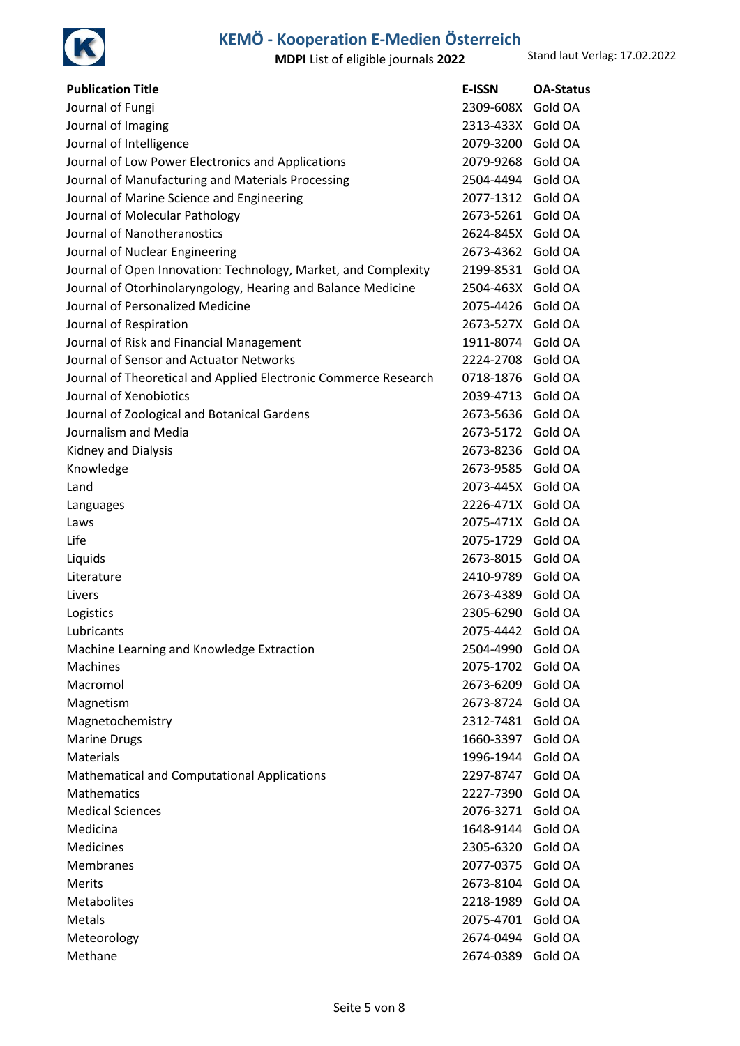

| <b>Publication Title</b>                                        | <b>E-ISSN</b> | <b>OA-Status</b> |
|-----------------------------------------------------------------|---------------|------------------|
| Journal of Fungi                                                | 2309-608X     | Gold OA          |
| Journal of Imaging                                              | 2313-433X     | Gold OA          |
| Journal of Intelligence                                         | 2079-3200     | Gold OA          |
| Journal of Low Power Electronics and Applications               | 2079-9268     | Gold OA          |
| Journal of Manufacturing and Materials Processing               | 2504-4494     | Gold OA          |
| Journal of Marine Science and Engineering                       | 2077-1312     | Gold OA          |
| Journal of Molecular Pathology                                  | 2673-5261     | Gold OA          |
| Journal of Nanotheranostics                                     | 2624-845X     | Gold OA          |
| Journal of Nuclear Engineering                                  | 2673-4362     | Gold OA          |
| Journal of Open Innovation: Technology, Market, and Complexity  | 2199-8531     | Gold OA          |
| Journal of Otorhinolaryngology, Hearing and Balance Medicine    | 2504-463X     | Gold OA          |
| Journal of Personalized Medicine                                | 2075-4426     | Gold OA          |
| Journal of Respiration                                          | 2673-527X     | Gold OA          |
| Journal of Risk and Financial Management                        | 1911-8074     | Gold OA          |
| Journal of Sensor and Actuator Networks                         | 2224-2708     | Gold OA          |
| Journal of Theoretical and Applied Electronic Commerce Research | 0718-1876     | Gold OA          |
| Journal of Xenobiotics                                          | 2039-4713     | Gold OA          |
| Journal of Zoological and Botanical Gardens                     | 2673-5636     | Gold OA          |
| Journalism and Media                                            | 2673-5172     | Gold OA          |
| Kidney and Dialysis                                             | 2673-8236     | Gold OA          |
| Knowledge                                                       | 2673-9585     | Gold OA          |
| Land                                                            | 2073-445X     | Gold OA          |
| Languages                                                       | 2226-471X     | Gold OA          |
| Laws                                                            | 2075-471X     | Gold OA          |
| Life                                                            | 2075-1729     | Gold OA          |
| Liquids                                                         | 2673-8015     | Gold OA          |
| Literature                                                      | 2410-9789     | Gold OA          |
| Livers                                                          | 2673-4389     | Gold OA          |
| Logistics                                                       | 2305-6290     | Gold OA          |
| Lubricants                                                      | 2075-4442     | Gold OA          |
| Machine Learning and Knowledge Extraction                       | 2504-4990     | Gold OA          |
| <b>Machines</b>                                                 | 2075-1702     | Gold OA          |
| Macromol                                                        | 2673-6209     | Gold OA          |
| Magnetism                                                       | 2673-8724     | Gold OA          |
| Magnetochemistry                                                | 2312-7481     | Gold OA          |
| <b>Marine Drugs</b>                                             | 1660-3397     | Gold OA          |
| <b>Materials</b>                                                | 1996-1944     | Gold OA          |
| Mathematical and Computational Applications                     | 2297-8747     | Gold OA          |
| <b>Mathematics</b>                                              | 2227-7390     | Gold OA          |
| <b>Medical Sciences</b>                                         | 2076-3271     | Gold OA          |
| Medicina                                                        | 1648-9144     | Gold OA          |
|                                                                 |               |                  |
| Medicines                                                       | 2305-6320     | Gold OA          |
| Membranes                                                       | 2077-0375     | Gold OA          |
| <b>Merits</b>                                                   | 2673-8104     | Gold OA          |
| Metabolites                                                     | 2218-1989     | Gold OA          |
| Metals                                                          | 2075-4701     | Gold OA          |
| Meteorology                                                     | 2674-0494     | Gold OA          |
| Methane                                                         | 2674-0389     | Gold OA          |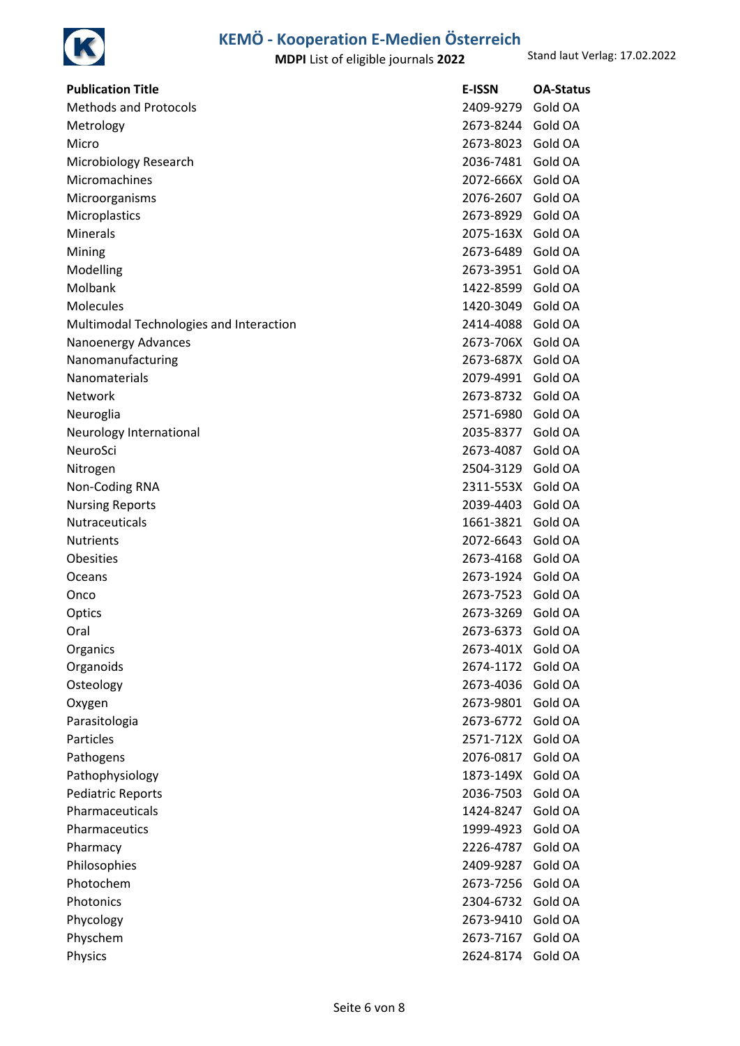

| <b>Publication Title</b>                | <b>E-ISSN</b>     | <b>OA-Status</b> |
|-----------------------------------------|-------------------|------------------|
| <b>Methods and Protocols</b>            | 2409-9279         | Gold OA          |
| Metrology                               | 2673-8244         | Gold OA          |
| Micro                                   | 2673-8023         | Gold OA          |
| Microbiology Research                   | 2036-7481         | Gold OA          |
| Micromachines                           | 2072-666X         | Gold OA          |
| Microorganisms                          | 2076-2607         | Gold OA          |
| Microplastics                           | 2673-8929         | Gold OA          |
| Minerals                                | 2075-163X Gold OA |                  |
| Mining                                  | 2673-6489         | Gold OA          |
| Modelling                               | 2673-3951         | Gold OA          |
| Molbank                                 | 1422-8599         | Gold OA          |
| Molecules                               | 1420-3049         | Gold OA          |
| Multimodal Technologies and Interaction | 2414-4088         | Gold OA          |
| Nanoenergy Advances                     | 2673-706X         | Gold OA          |
| Nanomanufacturing                       | 2673-687X         | Gold OA          |
| Nanomaterials                           | 2079-4991         | Gold OA          |
| Network                                 | 2673-8732         | Gold OA          |
| Neuroglia                               | 2571-6980         | Gold OA          |
| Neurology International                 | 2035-8377         | Gold OA          |
| NeuroSci                                | 2673-4087         | Gold OA          |
| Nitrogen                                | 2504-3129         | Gold OA          |
| Non-Coding RNA                          | 2311-553X Gold OA |                  |
| <b>Nursing Reports</b>                  | 2039-4403         | Gold OA          |
| <b>Nutraceuticals</b>                   | 1661-3821         | Gold OA          |
| <b>Nutrients</b>                        | 2072-6643         | Gold OA          |
| Obesities                               | 2673-4168         | Gold OA          |
| Oceans                                  | 2673-1924         | Gold OA          |
| Onco                                    | 2673-7523         | Gold OA          |
| Optics                                  | 2673-3269         | Gold OA          |
| Oral                                    | 2673-6373         | Gold OA          |
| Organics                                | 2673-401X         | Gold OA          |
| Organoids                               | 2674-1172         | Gold OA          |
| Osteology                               | 2673-4036         | Gold OA          |
| Oxygen                                  | 2673-9801         | Gold OA          |
| Parasitologia                           | 2673-6772         | Gold OA          |
| Particles                               | 2571-712X         | Gold OA          |
| Pathogens                               | 2076-0817         | Gold OA          |
| Pathophysiology                         | 1873-149X         | Gold OA          |
| <b>Pediatric Reports</b>                | 2036-7503         | Gold OA          |
| Pharmaceuticals                         | 1424-8247         | Gold OA          |
| Pharmaceutics                           | 1999-4923         | Gold OA          |
| Pharmacy                                | 2226-4787         | Gold OA          |
| Philosophies                            | 2409-9287         | Gold OA          |
| Photochem                               | 2673-7256         | Gold OA          |
| Photonics                               | 2304-6732         | Gold OA          |
| Phycology                               | 2673-9410         | Gold OA          |
| Physchem                                | 2673-7167         | Gold OA          |
| Physics                                 | 2624-8174         | Gold OA          |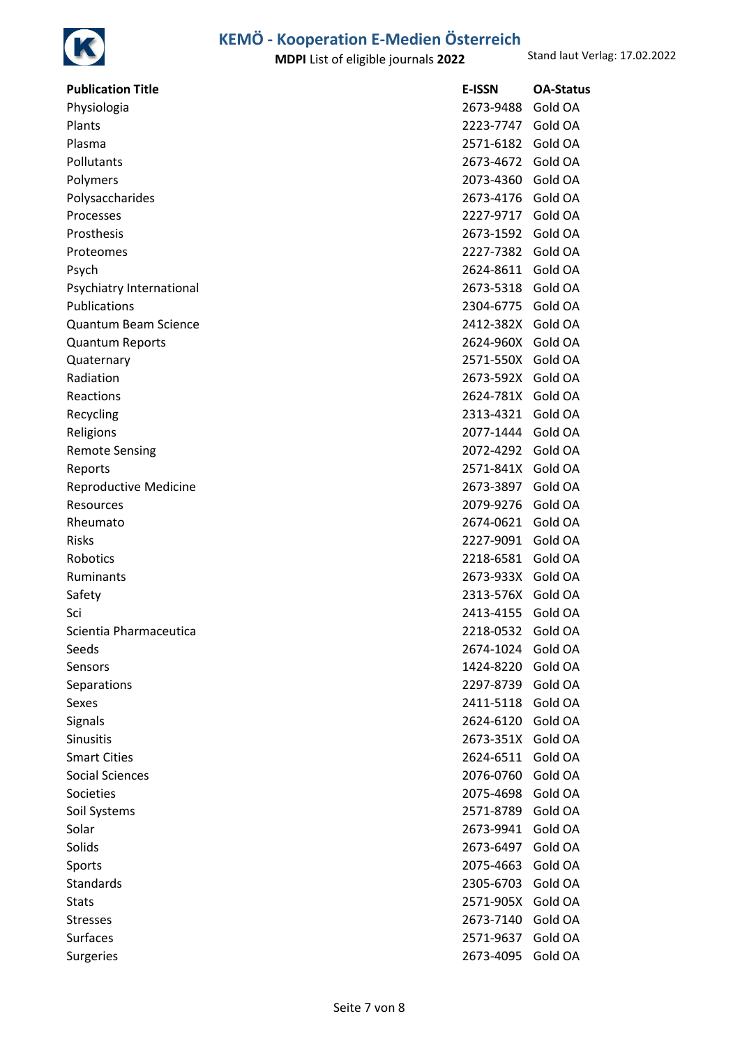

| <b>Publication Title</b>     | <b>E-ISSN</b>     | <b>OA-Status</b> |
|------------------------------|-------------------|------------------|
| Physiologia                  | 2673-9488         | Gold OA          |
| Plants                       | 2223-7747         | Gold OA          |
| Plasma                       | 2571-6182         | Gold OA          |
| Pollutants                   | 2673-4672         | Gold OA          |
| Polymers                     | 2073-4360         | Gold OA          |
| Polysaccharides              | 2673-4176         | Gold OA          |
| Processes                    | 2227-9717         | Gold OA          |
| Prosthesis                   | 2673-1592         | Gold OA          |
| Proteomes                    | 2227-7382         | Gold OA          |
| Psych                        | 2624-8611         | Gold OA          |
| Psychiatry International     | 2673-5318         | Gold OA          |
| Publications                 | 2304-6775         | Gold OA          |
| <b>Quantum Beam Science</b>  | 2412-382X Gold OA |                  |
| <b>Quantum Reports</b>       | 2624-960X         | Gold OA          |
| Quaternary                   | 2571-550X         | Gold OA          |
| Radiation                    | 2673-592X         | Gold OA          |
| Reactions                    | 2624-781X         | Gold OA          |
| Recycling                    | 2313-4321         | Gold OA          |
| Religions                    | 2077-1444         | Gold OA          |
| <b>Remote Sensing</b>        | 2072-4292         | Gold OA          |
| Reports                      | 2571-841X         | Gold OA          |
| <b>Reproductive Medicine</b> | 2673-3897         | Gold OA          |
| Resources                    | 2079-9276         | Gold OA          |
| Rheumato                     | 2674-0621         | Gold OA          |
| <b>Risks</b>                 | 2227-9091         | Gold OA          |
| Robotics                     | 2218-6581         | Gold OA          |
| Ruminants                    | 2673-933X         | Gold OA          |
| Safety                       | 2313-576X         | Gold OA          |
| Sci                          | 2413-4155         | Gold OA          |
| Scientia Pharmaceutica       | 2218-0532         | Gold OA          |
| Seeds                        | 2674-1024         | Gold OA          |
| Sensors                      | 1424-8220         | Gold OA          |
| Separations                  | 2297-8739         | Gold OA          |
| Sexes                        | 2411-5118         | Gold OA          |
| Signals                      | 2624-6120         | Gold OA          |
| Sinusitis                    | 2673-351X         | Gold OA          |
| <b>Smart Cities</b>          | 2624-6511         | Gold OA          |
| <b>Social Sciences</b>       | 2076-0760         | Gold OA          |
| Societies                    | 2075-4698         | Gold OA          |
| Soil Systems                 | 2571-8789         | Gold OA          |
| Solar                        | 2673-9941         | Gold OA          |
| Solids                       | 2673-6497         | Gold OA          |
| Sports                       | 2075-4663         | Gold OA          |
| <b>Standards</b>             | 2305-6703         | Gold OA          |
| <b>Stats</b>                 | 2571-905X         | Gold OA          |
| <b>Stresses</b>              | 2673-7140         | Gold OA          |
| Surfaces                     | 2571-9637         | Gold OA          |
| Surgeries                    | 2673-4095         | Gold OA          |